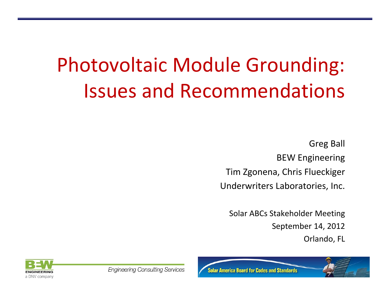# Photovoltaic Module Grounding: Issues and Recommendations

Greg Ball BEW Engineering Tim Zgonena, Chris Flueckiger Underwriters Laboratories, Inc.

Solar ABCs Stakeholder Meeting September 14, 2012 Orlando, FL



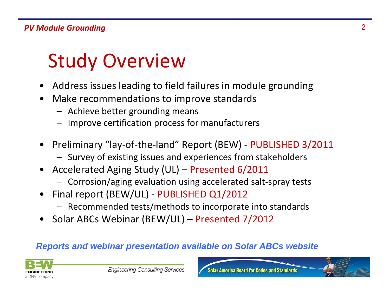# Study Overview

- •Address issues leading to field failures in module grounding
- • Make recommendations to improve standards
	- Achieve better grounding means
	- Improve certification process for manufacturers
- • Preliminary "lay‐of‐the‐land" Report (BEW) ‐ PUBLISHED 3/2011
	- Survey of existing issues and experiences from stakeholders
- • Accelerated Aging Study (UL) – Presented 6/2011
	- –Corrosion/aging evaluation using accelerated salt‐spray tests
- • Final report (BEW/UL) ‐ PUBLISHED Q1/2012
	- Recommended tests/methods to incorporate into standards
- •Solar ABCs Webinar (BEW/UL) – Presented 7/2012

### *Reports and webinar presentation available on Solar ABCs website*



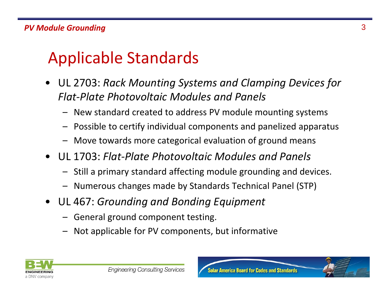## Applicable Standards

- UL 2703: *Rack Mounting Systems and Clamping Devices for Flat‐Plate Photovoltaic Modules and Panels*
	- New standard created to address PV module mounting systems
	- Possible to certify individual components and panelized apparatus
	- Move towards more categorical evaluation of ground means
- UL 1703: *Flat‐Plate Photovoltaic Modules and Panels*
	- Still a primary standard affecting module grounding and devices.
	- Numerous changes made by Standards Technical Panel (STP)
- UL 467: *Grounding and Bonding Equipment*
	- General ground component testing.
	- Not applicable for PV components, but informative

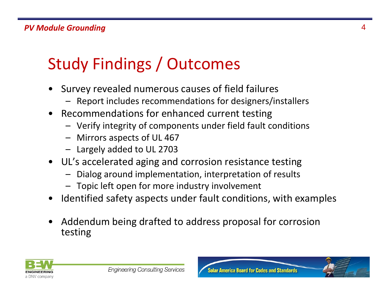## Study Findings / Outcomes

- • Survey revealed numerous causes of field failures
	- –Report includes recommendations for designers/installers
- $\bullet$  Recommendations for enhanced current testing
	- Verify integrity of components under field fault conditions
	- Mirrors aspects of UL 467
	- Largely added to UL 2703
- UL's accelerated aging and corrosion resistance testing
	- Dialog around implementation, interpretation of results
	- Topic left open for more industry involvement
- •Identified safety aspects under fault conditions, with examples
- $\bullet$  Addendum being drafted to address proposal for corrosion testing

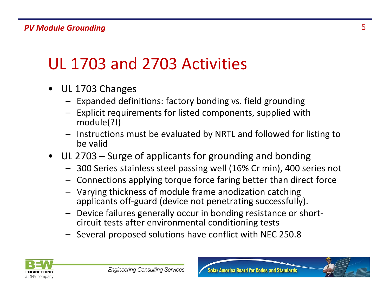## UL 1703 and 2703 Activities

- $\bullet$  UL 1703 Changes
	- Expanded definitions: factory bonding vs. field grounding
	- Explicit requirements for listed components, supplied with module(?!)
	- Instructions must be evaluated by NRTL and followed for listing to be valid
- UL 2703 Surge of applicants for grounding and bonding
	- 300 Series stainless steel passing well (16% Cr min), 400 series not
	- Connections applying torque force faring better than direct force
	- Varying thickness of module frame anodization catching applicants off‐guard (device not penetrating successfully).
	- – Device failures generally occur in bonding resistance or short‐ circuit tests after environmental conditioning tests
	- Several proposed solutions have conflict with NEC 250.8

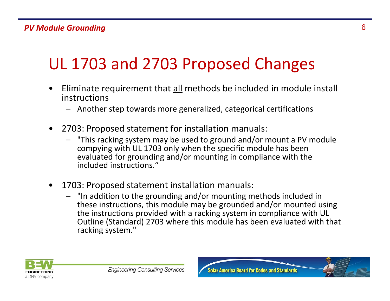## UL 1703 and 2703 Proposed Changes

- •Eliminate requirement that all methods be included in module install instructions
	- Another step towards more generalized, categorical certifications
- $\bullet$  2703: Proposed statement for installation manuals:
	- – "This racking system may be used to ground and/or mount <sup>a</sup> PV module compying with UL 1703 only when the specific module has been evaluated for grounding and/or mounting in compliance with the included instructions."
- $\bullet$  1703: Proposed statement installation manuals:
	- "In addition to the grounding and/or mounting methods included in these instructions, this module may be grounded and/or mounted using the instructions provided with <sup>a</sup> racking system in compliance with UL Outline (Standard) 2703 where this module has been evaluated with that racking system."



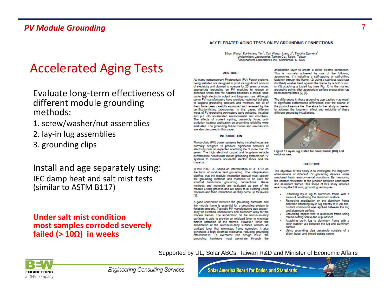### Accelerated Aging Tests

Evaluate long‐term effectiveness of different module grounding methods:

- 1. screw/washer/nut assemblies
- 2. lay‐in lug assemblies
- 3. grounding clips

### Install and age separately using: IEC damp heat and salt mist tests (similar to ASTM B117)

#### **Under salt mist conditionmost samples corroded severely failed (> 10Ω) in weeks**

#### ACCELERATED AGING TESTS ON PV GROUNDING CONNECTIONS

Ethan Wang<sup>1</sup>, Kai-Hsiang Yen<sup>1</sup>, Carl Wang<sup>1</sup>, Liang Ji<sup>2</sup>, Timothy Zgonena<sup>2</sup> Underwriters Laboratories Taiwan Co., Taipei, Taiwan <sup>2</sup>Underwriters Laboratories Inc., Northbrook, IL, USA

#### **ABSTRACT**

As many contemporary Photovoltaic (PV) Power systems being installed are designed to produce significant amount of electricity and claimed to operate for 25 years or more, appropriate grounding on PV modules to reduce or eliminate shock and fire hazards becomes a critical issue under high electricity output and long-term use. Although some PV manufacturers have provided technical bulletins to suggest grounding products and methods, not all of them have been carefully evaluated and reviewed by the certification/listing laboratories. In this paper, different types of PV grounding connectors were collected, installed and put into accelerated environmental test chambers. The effects of current cycling, assembly force, antioxidation coating application on grounding reliability were evaluated. The grounding failure modes and mechanisms are also discussed in this paper.

#### **INTRODUCTION**

Photovoltaic (PV) power systems being installed today are normally designed to produce significant amounts of electricity over an expected operating life of more than 25 years. The high electrical output and long-term reliable performance necessitate robust grounding systems for PV systems to minimize accidental electric shock and fire hazards

In late 2007, UL issued an Interpretation of UL 1703 on the topic of module field grounding. The Interpretation clarified that the module instruction manual must specify the grounding methods and materials to be used for external field-made grounding connections. These methods and materials are evaluated as part of the module Listing process and will apply to all existing Listed modules and their instructions as they come up for review [1].

A good connection between the grounding hardware and the module frame is essential for a grounding system to function properly. Typically PV manufacturers use copperalloy for electrical connections and aluminum-alloy for the module frames. The anodization on the aluminum-alloy surfaces is able to provide an oxidized layer to minimize further corrosion of the frames. However, while the anodization of the aluminum-alloy surfaces creates an oxidized layer that minimizes frame corrosion, it also generates a high electrical resistance reducing grounding effectiveness. To overcome this design issue, the grounding hardware must penetrate through the

anodization layer to create a direct electric connection. This is normally achieved by one of the following approaches: (1) Installing a self-tapping or self-drilling fastener through the frame, (2) using a stainless steel star (toothed) washer held against the frame by a bolt or nut. or (3) attaching a Listed lug (see Fig. 1) to the marked grounding points after appropriate surface preparation has been accomplished [2] [3].

The differences in these grounding approaches may result in significant performance differences over the course of the product service life. Therefore further study is needed to address the long-term effect and reliability of these different grounding installations.



Figure 1 Lay-in lug Listed for direct burial (DB) and outdoor use.

#### **OBJECTIVE**

The objective of this study is to investigate the long-term effectiveness of different PV grounding devices under simulated harsh environmental conditions. By measuring the contact resistance at the junction between connectors and aluminum frames, this scope of this study includes examining the following grounding techniques:

- Attaching lay-in lug to aluminum frame with a lock-nut penetrating the aluminum surface.
- Removing anodization on the aluminum frame and then attaching lay-in lug directly to it. An antioxidant compound was applied between the lug and aluminum surface.
- Grounding copper wire to aluminum frame using thread-cutting screw and cup washer.
- Attaching lay-in lug to aluminum frame with a teeth washer laid between the lug and aluminum surface
- Using grounding clips assembly consists of a slider, base, and thread-cutting screw.

### **ENGINEERING** a DNV company

**Engineering Consulting Services** 

**Solar America Board for Codes and Standards** 

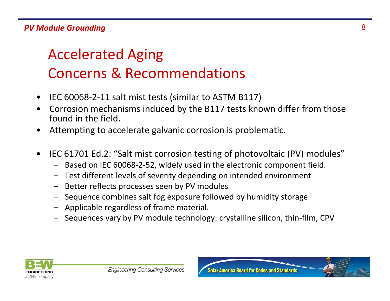### *PV Module Grounding* 8

### Accelerated Aging Concerns & Recommendations

- •IEC 60068‐2‐11 salt mist tests (similar to ASTM B117)
- • Corrosion mechanisms induced by the B117 tests known differ from those found in the field.
- •Attempting to accelerate galvanic corrosion is problematic.
- • IEC 61701 Ed.2: "Salt mist corrosion testing of photovoltaic (PV) modules"
	- –Based on IEC 60068‐2‐52, widely used in the electronic component field.
	- Test different levels of severity depending on intended environment
	- –Better reflects processes seen by PV modules
	- Sequence combines salt fog exposure followed by humidity storage
	- Applicable regardless of frame material.
	- –Sequences vary by PV module technology: crystalline silicon, thin‐film, CPV